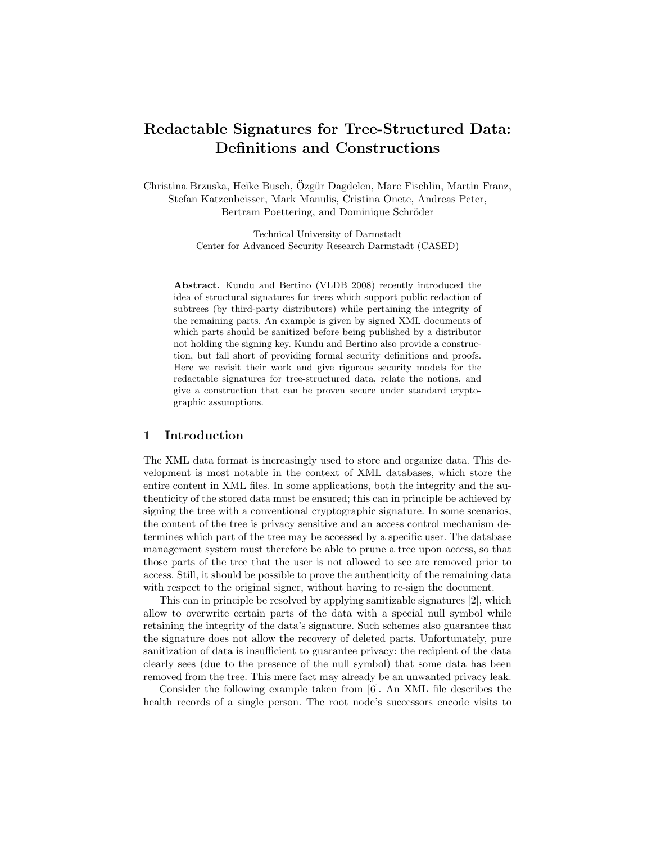# Redactable Signatures for Tree-Structured Data: Definitions and Constructions

Christina Brzuska, Heike Busch, Özgür Dagdelen, Marc Fischlin, Martin Franz, Stefan Katzenbeisser, Mark Manulis, Cristina Onete, Andreas Peter, Bertram Poettering, and Dominique Schröder

> Technical University of Darmstadt Center for Advanced Security Research Darmstadt (CASED)

Abstract. Kundu and Bertino (VLDB 2008) recently introduced the idea of structural signatures for trees which support public redaction of subtrees (by third-party distributors) while pertaining the integrity of the remaining parts. An example is given by signed XML documents of which parts should be sanitized before being published by a distributor not holding the signing key. Kundu and Bertino also provide a construction, but fall short of providing formal security definitions and proofs. Here we revisit their work and give rigorous security models for the redactable signatures for tree-structured data, relate the notions, and give a construction that can be proven secure under standard cryptographic assumptions.

## 1 Introduction

The XML data format is increasingly used to store and organize data. This development is most notable in the context of XML databases, which store the entire content in XML files. In some applications, both the integrity and the authenticity of the stored data must be ensured; this can in principle be achieved by signing the tree with a conventional cryptographic signature. In some scenarios, the content of the tree is privacy sensitive and an access control mechanism determines which part of the tree may be accessed by a specific user. The database management system must therefore be able to prune a tree upon access, so that those parts of the tree that the user is not allowed to see are removed prior to access. Still, it should be possible to prove the authenticity of the remaining data with respect to the original signer, without having to re-sign the document.

This can in principle be resolved by applying sanitizable signatures [2], which allow to overwrite certain parts of the data with a special null symbol while retaining the integrity of the data's signature. Such schemes also guarantee that the signature does not allow the recovery of deleted parts. Unfortunately, pure sanitization of data is insufficient to guarantee privacy: the recipient of the data clearly sees (due to the presence of the null symbol) that some data has been removed from the tree. This mere fact may already be an unwanted privacy leak.

Consider the following example taken from [6]. An XML file describes the health records of a single person. The root node's successors encode visits to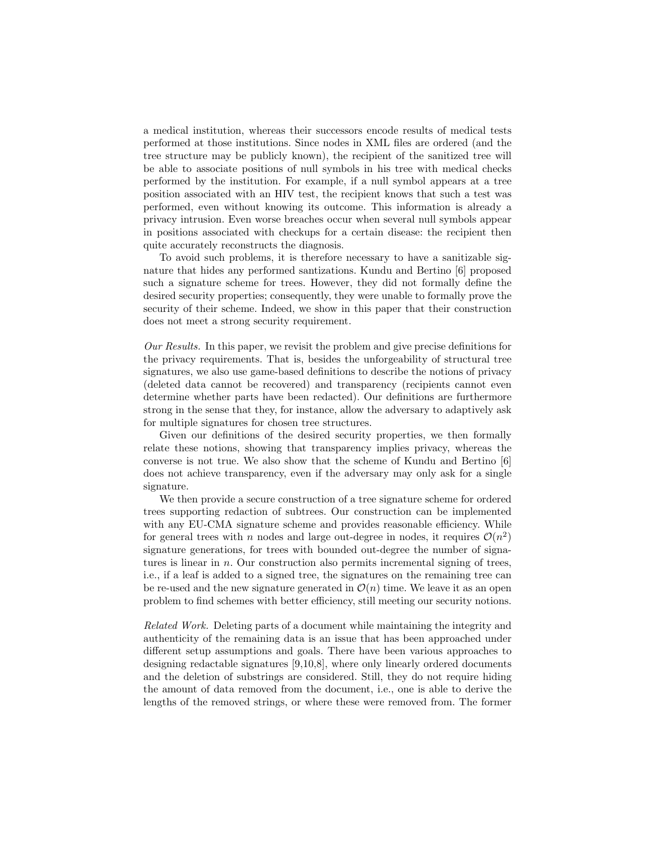a medical institution, whereas their successors encode results of medical tests performed at those institutions. Since nodes in XML files are ordered (and the tree structure may be publicly known), the recipient of the sanitized tree will be able to associate positions of null symbols in his tree with medical checks performed by the institution. For example, if a null symbol appears at a tree position associated with an HIV test, the recipient knows that such a test was performed, even without knowing its outcome. This information is already a privacy intrusion. Even worse breaches occur when several null symbols appear in positions associated with checkups for a certain disease: the recipient then quite accurately reconstructs the diagnosis.

To avoid such problems, it is therefore necessary to have a sanitizable signature that hides any performed santizations. Kundu and Bertino [6] proposed such a signature scheme for trees. However, they did not formally define the desired security properties; consequently, they were unable to formally prove the security of their scheme. Indeed, we show in this paper that their construction does not meet a strong security requirement.

Our Results. In this paper, we revisit the problem and give precise definitions for the privacy requirements. That is, besides the unforgeability of structural tree signatures, we also use game-based definitions to describe the notions of privacy (deleted data cannot be recovered) and transparency (recipients cannot even determine whether parts have been redacted). Our definitions are furthermore strong in the sense that they, for instance, allow the adversary to adaptively ask for multiple signatures for chosen tree structures.

Given our definitions of the desired security properties, we then formally relate these notions, showing that transparency implies privacy, whereas the converse is not true. We also show that the scheme of Kundu and Bertino [6] does not achieve transparency, even if the adversary may only ask for a single signature.

We then provide a secure construction of a tree signature scheme for ordered trees supporting redaction of subtrees. Our construction can be implemented with any EU-CMA signature scheme and provides reasonable efficiency. While for general trees with n nodes and large out-degree in nodes, it requires  $\mathcal{O}(n^2)$ signature generations, for trees with bounded out-degree the number of signatures is linear in  $n$ . Our construction also permits incremental signing of trees, i.e., if a leaf is added to a signed tree, the signatures on the remaining tree can be re-used and the new signature generated in  $\mathcal{O}(n)$  time. We leave it as an open problem to find schemes with better efficiency, still meeting our security notions.

Related Work. Deleting parts of a document while maintaining the integrity and authenticity of the remaining data is an issue that has been approached under different setup assumptions and goals. There have been various approaches to designing redactable signatures [9,10,8], where only linearly ordered documents and the deletion of substrings are considered. Still, they do not require hiding the amount of data removed from the document, i.e., one is able to derive the lengths of the removed strings, or where these were removed from. The former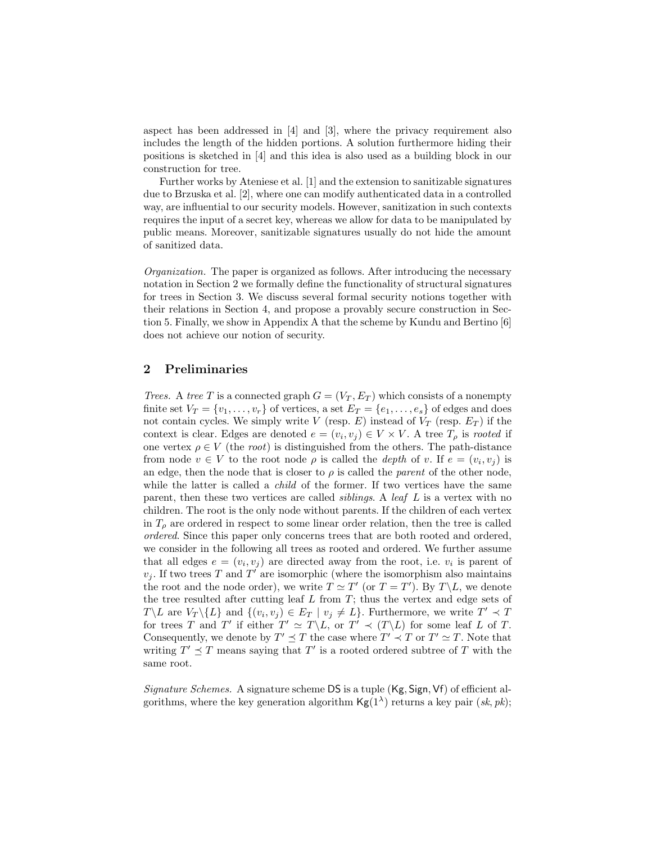aspect has been addressed in [4] and [3], where the privacy requirement also includes the length of the hidden portions. A solution furthermore hiding their positions is sketched in [4] and this idea is also used as a building block in our construction for tree.

Further works by Ateniese et al. [1] and the extension to sanitizable signatures due to Brzuska et al. [2], where one can modify authenticated data in a controlled way, are influential to our security models. However, sanitization in such contexts requires the input of a secret key, whereas we allow for data to be manipulated by public means. Moreover, sanitizable signatures usually do not hide the amount of sanitized data.

Organization. The paper is organized as follows. After introducing the necessary notation in Section 2 we formally define the functionality of structural signatures for trees in Section 3. We discuss several formal security notions together with their relations in Section 4, and propose a provably secure construction in Section 5. Finally, we show in Appendix A that the scheme by Kundu and Bertino [6] does not achieve our notion of security.

# 2 Preliminaries

Trees. A tree T is a connected graph  $G = (V_T, E_T)$  which consists of a nonempty finite set  $V_T = \{v_1, \ldots, v_r\}$  of vertices, a set  $E_T = \{e_1, \ldots, e_s\}$  of edges and does not contain cycles. We simply write V (resp. E) instead of  $V_T$  (resp.  $E_T$ ) if the context is clear. Edges are denoted  $e = (v_i, v_j) \in V \times V$ . A tree  $T_\rho$  is rooted if one vertex  $\rho \in V$  (the *root*) is distinguished from the others. The path-distance from node  $v \in V$  to the root node  $\rho$  is called the *depth* of v. If  $e = (v_i, v_j)$  is an edge, then the node that is closer to  $\rho$  is called the *parent* of the other node, while the latter is called a *child* of the former. If two vertices have the same parent, then these two vertices are called siblings. A leaf L is a vertex with no children. The root is the only node without parents. If the children of each vertex in  $T_{\rho}$  are ordered in respect to some linear order relation, then the tree is called ordered. Since this paper only concerns trees that are both rooted and ordered, we consider in the following all trees as rooted and ordered. We further assume that all edges  $e = (v_i, v_j)$  are directed away from the root, i.e.  $v_i$  is parent of  $v_j$ . If two trees T and  $T'$  are isomorphic (where the isomorphism also maintains the root and the node order), we write  $T \simeq T'$  (or  $T = T'$ ). By  $T \backslash L$ , we denote the tree resulted after cutting leaf  $L$  from  $T$ ; thus the vertex and edge sets of  $T \backslash L$  are  $V_T \backslash \{L\}$  and  $\{(v_i, v_j) \in E_T \mid v_j \neq L\}$ . Furthermore, we write  $T' \prec T$ for trees T and T' if either  $T' \simeq T \backslash L$ , or  $T' \prec (T \backslash L)$  for some leaf L of T. Consequently, we denote by  $T' \preceq T$  the case where  $T' \prec T$  or  $T' \simeq T$ . Note that writing  $T' \preceq T$  means saying that  $T'$  is a rooted ordered subtree of  $T$  with the same root.

Signature Schemes. A signature scheme DS is a tuple (Kg, Sign, Vf) of efficient algorithms, where the key generation algorithm  $\mathsf{Kg}(1^{\lambda})$  returns a key pair  $(sk, pk)$ ;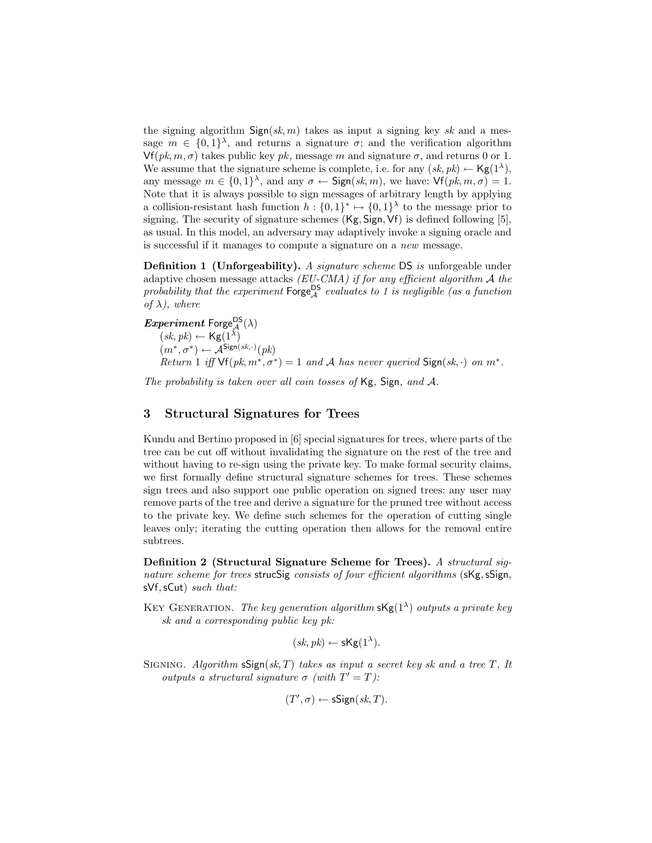the signing algorithm  $\textsf{Sign}(sk, m)$  takes as input a signing key sk and a message  $m \in \{0,1\}^{\lambda}$ , and returns a signature  $\sigma$ ; and the verification algorithm  $Vf(pk, m, \sigma)$  takes public key pk, message m and signature  $\sigma$ , and returns 0 or 1. We assume that the signature scheme is complete, i.e. for any  $(sk, pk) \leftarrow \text{Kg}(1^{\lambda}),$ any message  $m \in \{0,1\}^{\lambda}$ , and any  $\sigma \leftarrow$  Sign $(sk, m)$ , we have:  $\mathsf{Vf}(pk, m, \sigma) = 1$ . Note that it is always possible to sign messages of arbitrary length by applying a collision-resistant hash function  $h: \{0,1\}^* \mapsto \{0,1\}^{\lambda}$  to the message prior to signing. The security of signature schemes (Kg, Sign, Vf) is defined following [5], as usual. In this model, an adversary may adaptively invoke a signing oracle and is successful if it manages to compute a signature on a new message.

**Definition 1 (Unforgeability).** A signature scheme DS is unforgeable under adaptive chosen message attacks  $(EU-CMA)$  if for any efficient algorithm  $A$  the probability that the experiment  $\mathsf{Forge}_{\mathcal{A}}^{\mathsf{DS}}$  evaluates to 1 is negligible (as a function of  $\lambda$ ), where

 $Experiment$  Forge $_{\mathcal{A}}^{\mathsf{DS}}(\lambda)$  $(sk, pk) \leftarrow \mathsf{Kg}(1^{\lambda})$  $(m^*, \sigma^*) \leftarrow \mathcal{A}^{\mathsf{Sign}(sk, \cdot)}(pk)$ Return 1 iff  $\mathsf{Vf}(pk, m^*, \sigma^*) = 1$  and A has never queried  $\mathsf{Sign}(sk, \cdot)$  on  $m^*$ .

The probability is taken over all coin tosses of Kg, Sign, and A.

# 3 Structural Signatures for Trees

Kundu and Bertino proposed in [6] special signatures for trees, where parts of the tree can be cut off without invalidating the signature on the rest of the tree and without having to re-sign using the private key. To make formal security claims, we first formally define structural signature schemes for trees. These schemes sign trees and also support one public operation on signed trees: any user may remove parts of the tree and derive a signature for the pruned tree without access to the private key. We define such schemes for the operation of cutting single leaves only; iterating the cutting operation then allows for the removal entire subtrees.

Definition 2 (Structural Signature Scheme for Trees). A structural signature scheme for trees strucSig consists of four efficient algorithms (sKg, sSign, sVf, sCut) such that:

KEY GENERATION. The key generation algorithm  $sKg(1^{\lambda})$  outputs a private key sk and a corresponding public key pk:

$$
(sk, pk) \leftarrow \mathsf{sKg}(1^{\lambda}).
$$

SIGNING. Algorithm  $\mathsf{sSign}(sk, T)$  takes as input a secret key sk and a tree T. It outputs a structural signature  $\sigma$  (with  $T' = T$ ):

$$
(T',\sigma) \leftarrow \text{sSign}(sk,T).
$$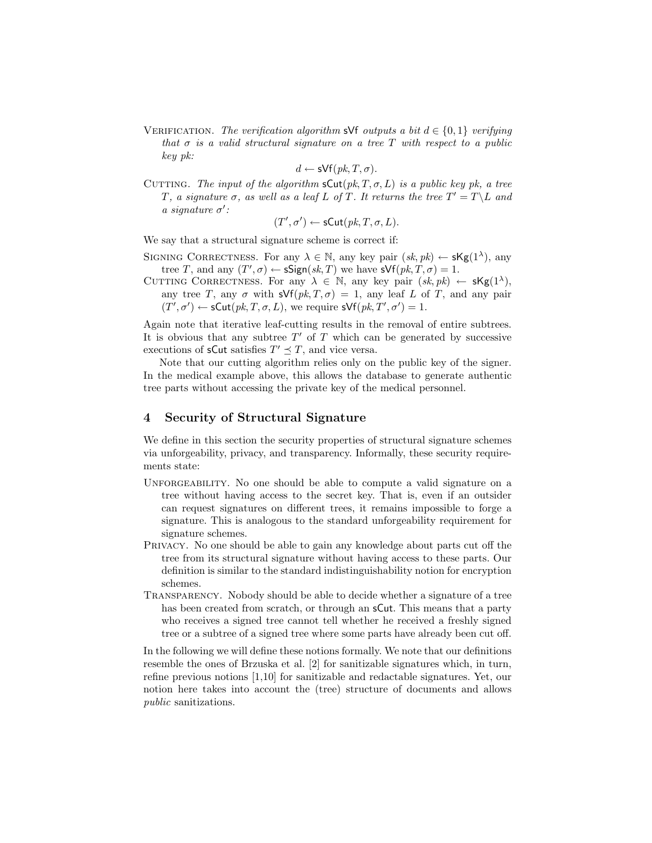VERIFICATION. The verification algorithm sVf outputs a bit  $d \in \{0,1\}$  verifying that  $\sigma$  is a valid structural signature on a tree T with respect to a public key pk:

$$
d \leftarrow \mathsf{sVf}(pk, T, \sigma).
$$

CUTTING. The input of the algorithm  $\mathsf{SCut}(pk, T, \sigma, L)$  is a public key pk, a tree T, a signature  $\sigma$ , as well as a leaf L of T. It returns the tree  $T' = T \backslash L$  and a signature  $\sigma'$ :

$$
(T',\sigma') \leftarrow \textsf{sCut}(pk,T,\sigma,L).
$$

We say that a structural signature scheme is correct if:

- SIGNING CORRECTNESS. For any  $\lambda \in \mathbb{N}$ , any key pair  $(sk, pk) \leftarrow \mathsf{skg}(1^{\lambda})$ , any tree T, and any  $(T', \sigma) \leftarrow sSign(sk, T)$  we have  $sVf(pk, T, \sigma) = 1$ .
- CUTTING CORRECTNESS. For any  $\lambda \in \mathbb{N}$ , any key pair  $(sk, pk) \leftarrow skg(1^{\lambda}),$ any tree T, any  $\sigma$  with  $\mathsf{sVf}(pk, T, \sigma) = 1$ , any leaf L of T, and any pair  $(T', \sigma') \leftarrow \mathsf{sCut}(pk, T, \sigma, L)$ , we require  $\mathsf{sVf}(pk, T', \sigma') = 1$ .

Again note that iterative leaf-cutting results in the removal of entire subtrees. It is obvious that any subtree  $T'$  of  $T$  which can be generated by successive executions of sCut satisfies  $T' \preceq T$ , and vice versa.

Note that our cutting algorithm relies only on the public key of the signer. In the medical example above, this allows the database to generate authentic tree parts without accessing the private key of the medical personnel.

# 4 Security of Structural Signature

We define in this section the security properties of structural signature schemes via unforgeability, privacy, and transparency. Informally, these security requirements state:

- UNFORGEABILITY. No one should be able to compute a valid signature on a tree without having access to the secret key. That is, even if an outsider can request signatures on different trees, it remains impossible to forge a signature. This is analogous to the standard unforgeability requirement for signature schemes.
- Privacy. No one should be able to gain any knowledge about parts cut off the tree from its structural signature without having access to these parts. Our definition is similar to the standard indistinguishability notion for encryption schemes.
- Transparency. Nobody should be able to decide whether a signature of a tree has been created from scratch, or through an **sCut**. This means that a party who receives a signed tree cannot tell whether he received a freshly signed tree or a subtree of a signed tree where some parts have already been cut off.

In the following we will define these notions formally. We note that our definitions resemble the ones of Brzuska et al. [2] for sanitizable signatures which, in turn, refine previous notions [1,10] for sanitizable and redactable signatures. Yet, our notion here takes into account the (tree) structure of documents and allows public sanitizations.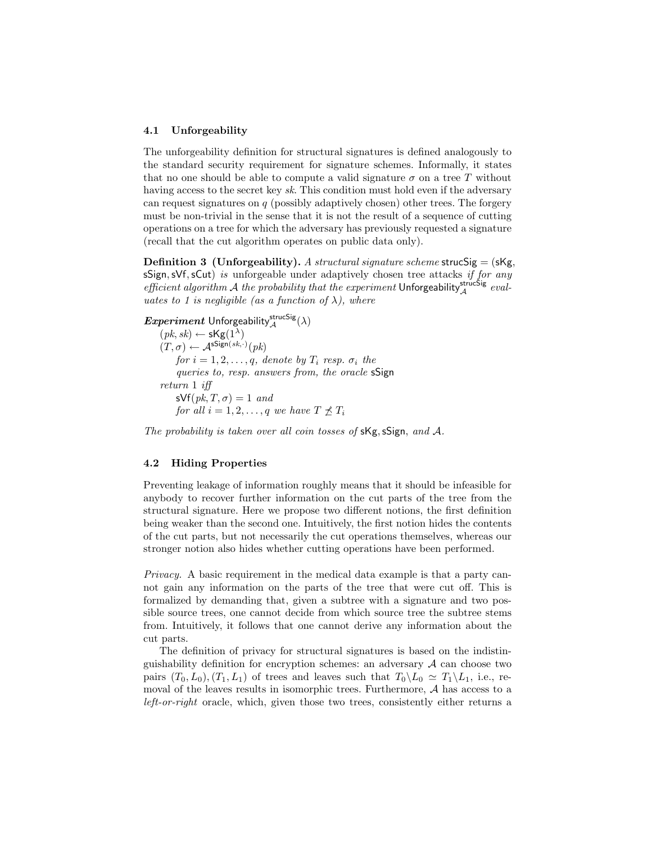#### 4.1 Unforgeability

The unforgeability definition for structural signatures is defined analogously to the standard security requirement for signature schemes. Informally, it states that no one should be able to compute a valid signature  $\sigma$  on a tree T without having access to the secret key sk. This condition must hold even if the adversary can request signatures on  $q$  (possibly adaptively chosen) other trees. The forgery must be non-trivial in the sense that it is not the result of a sequence of cutting operations on a tree for which the adversary has previously requested a signature (recall that the cut algorithm operates on public data only).

**Definition 3** (Unforgeability). A structural signature scheme strucSig =  $(sKg,$  $sSign, sVf, sCut$ ) is unforgeable under adaptively chosen tree attacks if for any efficient algorithm A the probability that the experiment  $\mathsf{Unforgetability}_{\mathcal{A}}^{\mathsf{strucSig}}$  evaluates to 1 is negligible (as a function of  $\lambda$ ), where

 $Experiment$  Unforgeability ${}^{\text{strucSig}}_{\mathcal{A}}(\lambda)$ 

 $(pk, sk) \leftarrow sKg(1^{\lambda})$  $(T, \sigma) \leftarrow \mathcal{A}^{\mathsf{sSign}(sk, \cdot)}(pk)$ for  $i = 1, 2, \ldots, q$ , denote by  $T_i$  resp.  $\sigma_i$  the queries to, resp. answers from, the oracle sSign return 1 iff  $\mathsf{sVf}(pk, T, \sigma) = 1$  and for all  $i = 1, 2, \ldots, q$  we have  $T \npreceq T_i$ 

The probability is taken over all coin tosses of  $sKg, sSign, and A$ .

### 4.2 Hiding Properties

Preventing leakage of information roughly means that it should be infeasible for anybody to recover further information on the cut parts of the tree from the structural signature. Here we propose two different notions, the first definition being weaker than the second one. Intuitively, the first notion hides the contents of the cut parts, but not necessarily the cut operations themselves, whereas our stronger notion also hides whether cutting operations have been performed.

Privacy. A basic requirement in the medical data example is that a party cannot gain any information on the parts of the tree that were cut off. This is formalized by demanding that, given a subtree with a signature and two possible source trees, one cannot decide from which source tree the subtree stems from. Intuitively, it follows that one cannot derive any information about the cut parts.

The definition of privacy for structural signatures is based on the indistinguishability definition for encryption schemes: an adversary  $A$  can choose two pairs  $(T_0, L_0), (T_1, L_1)$  of trees and leaves such that  $T_0 \backslash L_0 \simeq T_1 \backslash L_1$ , i.e., removal of the leaves results in isomorphic trees. Furthermore,  $A$  has access to a left-or-right oracle, which, given those two trees, consistently either returns a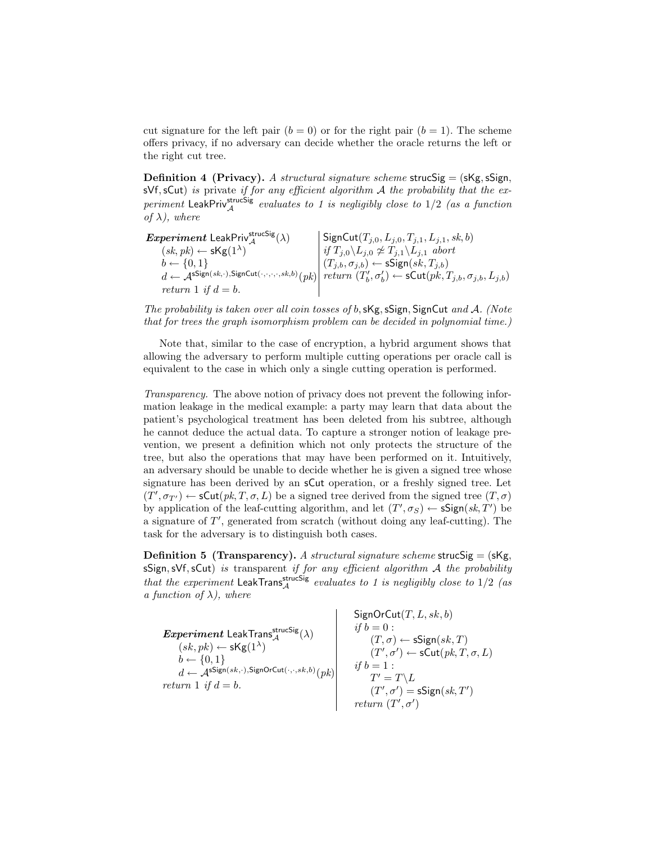cut signature for the left pair  $(b = 0)$  or for the right pair  $(b = 1)$ . The scheme offers privacy, if no adversary can decide whether the oracle returns the left or the right cut tree.

**Definition 4 (Privacy).** A structural signature scheme strucSig =  $(sKg, sSign,$  $S\mathcal{V}$ ,  $S\mathcal{C}$ ut) is private if for any efficient algorithm A the probability that the experiment LeakPriv<sub>A</sub> evaluates to 1 is negligibly close to  $1/2$  (as a function of  $\lambda$ ), where

**Experiment** LeakPriv<sup>strucSig</sup>
$$
(\lambda)
$$
  
\n $(sk, pk) \leftarrow sKg(1^{\lambda})$   
\n $b \leftarrow \{0,1\}$   
\n $d \leftarrow \mathcal{A}^{sign(sk,\cdot),SignCut(\cdot,\cdot,\cdot,\cdot,\cdot,sk,b)}(pk)$   
\nreturn 1 if  $d = b$ .  
\n**Figure 1**

The probability is taken over all coin tosses of  $b$ ,  $sKg$ ,  $sSign$ ,  $SignCut$  and  $A$ . (Note that for trees the graph isomorphism problem can be decided in polynomial time.)

Note that, similar to the case of encryption, a hybrid argument shows that allowing the adversary to perform multiple cutting operations per oracle call is equivalent to the case in which only a single cutting operation is performed.

Transparency. The above notion of privacy does not prevent the following information leakage in the medical example: a party may learn that data about the patient's psychological treatment has been deleted from his subtree, although he cannot deduce the actual data. To capture a stronger notion of leakage prevention, we present a definition which not only protects the structure of the tree, but also the operations that may have been performed on it. Intuitively, an adversary should be unable to decide whether he is given a signed tree whose signature has been derived by an sCut operation, or a freshly signed tree. Let  $(T', \sigma_{T'}) \leftarrow \textsf{sCut}(pk, T, \sigma, L)$  be a signed tree derived from the signed tree  $(T, \sigma)$ by application of the leaf-cutting algorithm, and let  $(T', \sigma_S) \leftarrow sSign(sk, T')$  be a signature of  $T'$ , generated from scratch (without doing any leaf-cutting). The task for the adversary is to distinguish both cases.

**Definition 5 (Transparency).** A structural signature scheme strucSig =  $(sKg,$  $sSign, sVf, sCut)$  is transparent if for any efficient algorithm  $A$  the probability that the experiment LeakTrans<sup>strucSig</sup> evaluates to 1 is negligibly close to  $1/2$  (as a function of  $\lambda$ ), where

 $Experiment$  LeakTrans $_{\mathcal{A}}^{\text{strucSig}}(\lambda)$  $(sk, pk) \leftarrow$  sKg $(1^{\lambda})$  $b \leftarrow \{0, 1\}$  $d \leftarrow \mathcal{A}^{\mathsf{sSign}(sk,\cdot),\mathsf{SignOrCut}(\cdot,\cdot,sk,b)}(pk)$ return 1 if  $d = b$ .  $SignOrCut(T, L, sk, b)$ if  $b=0$  :  $(T, \sigma) \leftarrow \mathsf{sSign}(sk, T)$  $(T', \sigma') \leftarrow \mathsf{sCut}(pk, T, \sigma, L)$ if  $b = 1$  :  $T' = T \backslash L$  $(T', \sigma') = sSign(sk, T')$ return  $(T', \sigma')$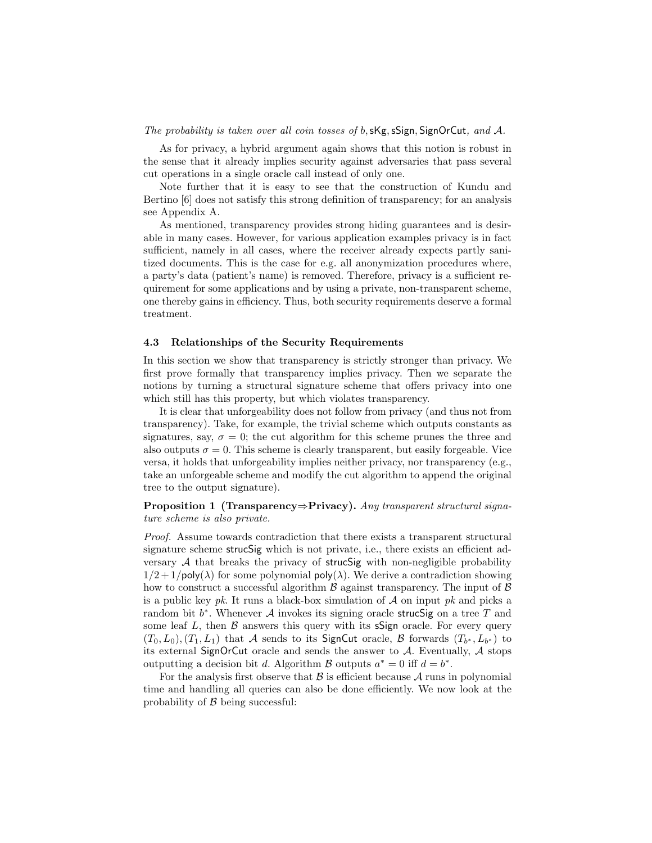### The probability is taken over all coin tosses of b,  $sKg$ ,  $sSign$ ,  $SignOrCut$ , and  $A$ .

As for privacy, a hybrid argument again shows that this notion is robust in the sense that it already implies security against adversaries that pass several cut operations in a single oracle call instead of only one.

Note further that it is easy to see that the construction of Kundu and Bertino [6] does not satisfy this strong definition of transparency; for an analysis see Appendix A.

As mentioned, transparency provides strong hiding guarantees and is desirable in many cases. However, for various application examples privacy is in fact sufficient, namely in all cases, where the receiver already expects partly sanitized documents. This is the case for e.g. all anonymization procedures where, a party's data (patient's name) is removed. Therefore, privacy is a sufficient requirement for some applications and by using a private, non-transparent scheme, one thereby gains in efficiency. Thus, both security requirements deserve a formal treatment.

#### 4.3 Relationships of the Security Requirements

In this section we show that transparency is strictly stronger than privacy. We first prove formally that transparency implies privacy. Then we separate the notions by turning a structural signature scheme that offers privacy into one which still has this property, but which violates transparency.

It is clear that unforgeability does not follow from privacy (and thus not from transparency). Take, for example, the trivial scheme which outputs constants as signatures, say,  $\sigma = 0$ ; the cut algorithm for this scheme prunes the three and also outputs  $\sigma = 0$ . This scheme is clearly transparent, but easily for geable. Vice versa, it holds that unforgeability implies neither privacy, nor transparency (e.g., take an unforgeable scheme and modify the cut algorithm to append the original tree to the output signature).

Proposition 1 (Transparency⇒Privacy). Any transparent structural signature scheme is also private.

Proof. Assume towards contradiction that there exists a transparent structural signature scheme strucSig which is not private, i.e., there exists an efficient adversary  $A$  that breaks the privacy of strucSig with non-negligible probability  $1/2 + 1$ /poly( $\lambda$ ) for some polynomial poly( $\lambda$ ). We derive a contradiction showing how to construct a successful algorithm  $\beta$  against transparency. The input of  $\beta$ is a public key pk. It runs a black-box simulation of  $A$  on input pk and picks a random bit  $b^*$ . Whenever A invokes its signing oracle strucSig on a tree T and some leaf  $L$ , then  $\beta$  answers this query with its sSign oracle. For every query  $(T_0, L_0), (T_1, L_1)$  that A sends to its SignCut oracle, B forwards  $(T_{b^*}, L_{b^*})$  to its external SignOrCut oracle and sends the answer to  $A$ . Eventually,  $A$  stops outputting a decision bit d. Algorithm B outputs  $a^* = 0$  iff  $d = b^*$ .

For the analysis first observe that  $\beta$  is efficient because  $\mathcal A$  runs in polynomial time and handling all queries can also be done efficiently. We now look at the probability of  $\beta$  being successful: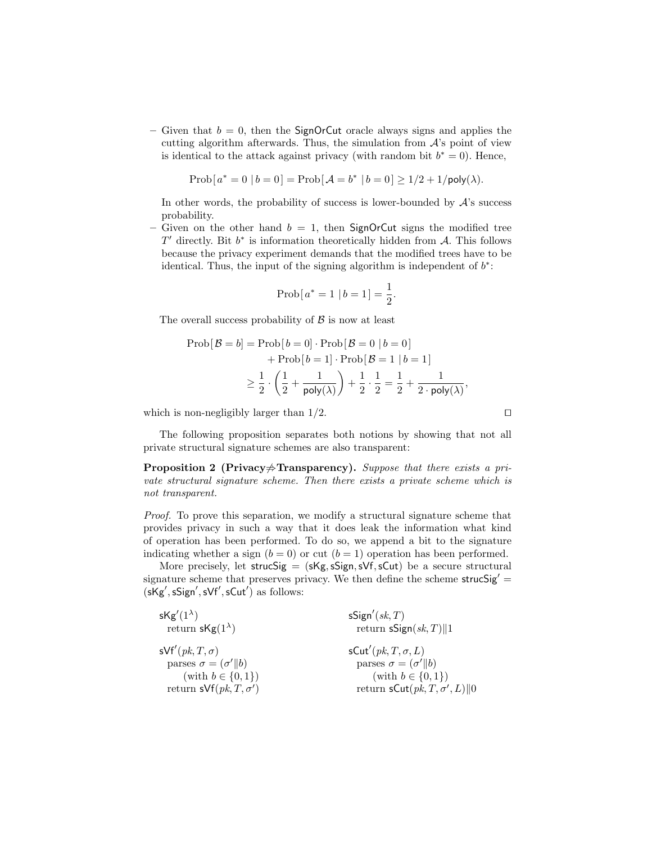– Given that  $b = 0$ , then the SignOrCut oracle always signs and applies the cutting algorithm afterwards. Thus, the simulation from  $A$ 's point of view is identical to the attack against privacy (with random bit  $b^* = 0$ ). Hence,

Prob[
$$
a^*
$$
 = 0 |  $b$  = 0] = Prob[ $A$  =  $b^*$  |  $b$  = 0] ≥ 1/2 + 1/poly( $λ$ ).

In other words, the probability of success is lower-bounded by  $\mathcal{A}$ 's success probability.

– Given on the other hand  $b = 1$ , then SignOrCut signs the modified tree  $T'$  directly. Bit  $b^*$  is information theoretically hidden from A. This follows because the privacy experiment demands that the modified trees have to be identical. Thus, the input of the signing algorithm is independent of  $b^*$ :

$$
Prob[a^* = 1 | b = 1] = \frac{1}{2}.
$$

The overall success probability of  $\beta$  is now at least

$$
\text{Prob}[\mathcal{B} = b] = \text{Prob}[b = 0] \cdot \text{Prob}[\mathcal{B} = 0 | b = 0]
$$

$$
+ \text{Prob}[b = 1] \cdot \text{Prob}[\mathcal{B} = 1 | b = 1]
$$

$$
\geq \frac{1}{2} \cdot \left(\frac{1}{2} + \frac{1}{\text{poly}(\lambda)}\right) + \frac{1}{2} \cdot \frac{1}{2} = \frac{1}{2} + \frac{1}{2 \cdot \text{poly}(\lambda)},
$$

which is non-negligibly larger than  $1/2$ .

The following proposition separates both notions by showing that not all private structural signature schemes are also transparent:

**Proposition 2** (Privacy $\neq$ Transparency). Suppose that there exists a private structural signature scheme. Then there exists a private scheme which is not transparent.

Proof. To prove this separation, we modify a structural signature scheme that provides privacy in such a way that it does leak the information what kind of operation has been performed. To do so, we append a bit to the signature indicating whether a sign  $(b = 0)$  or cut  $(b = 1)$  operation has been performed.

More precisely, let strucSig =  $(sKg, sSign, sVf, sCut)$  be a secure structural signature scheme that preserves privacy. We then define the scheme  $strucSig' =$  $(sKg', sSign', sVf', sCut')$  as follows:

| $sKg'(1^{\lambda})$                   | sSign'(sk,T)                         |
|---------------------------------------|--------------------------------------|
| return $sKg(1^{\lambda})$             | return $\mathsf{sSign}(sk, T)$   1   |
| $\mathsf{sVf}'(pk, T, \sigma)$        | $sCut'(pk, T, \sigma, L)$            |
| parses $\sigma = (\sigma'    b)$      | parses $\sigma = (\sigma'    b)$     |
| (with $b \in \{0, 1\}$ )              | (with $b \in \{0, 1\}$ )             |
| return $\mathsf{sVf}(pk, T, \sigma')$ | return $sCut(pk, T, \sigma', L)$   0 |

$$
\mathbb{L}
$$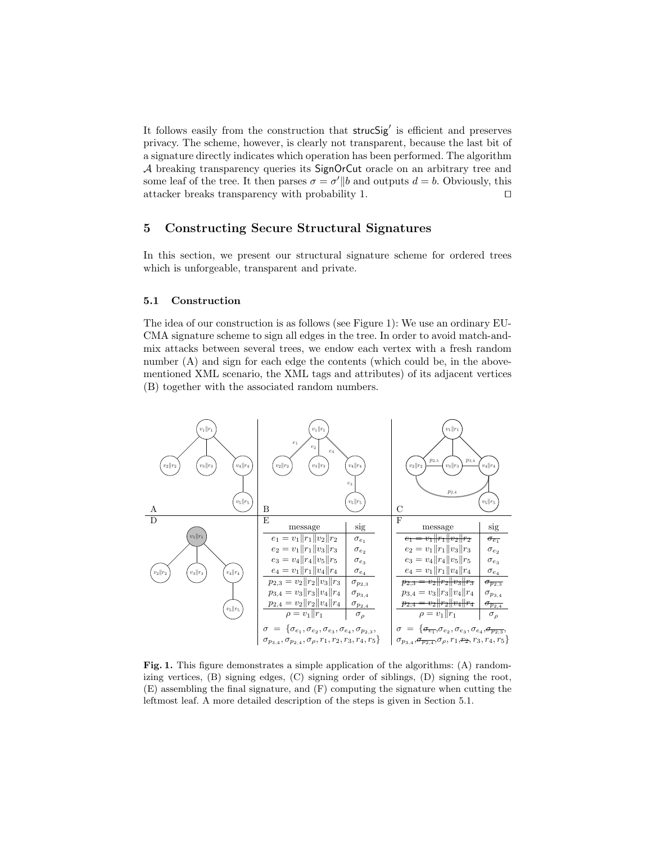It follows easily from the construction that strucSig' is efficient and preserves privacy. The scheme, however, is clearly not transparent, because the last bit of a signature directly indicates which operation has been performed. The algorithm A breaking transparency queries its SignOrCut oracle on an arbitrary tree and some leaf of the tree. It then parses  $\sigma = \sigma' || b$  and outputs  $d = b$ . Obviously, this attacker breaks transparency with probability 1.  $\Box$ 

# 5 Constructing Secure Structural Signatures

In this section, we present our structural signature scheme for ordered trees which is unforgeable, transparent and private.

### 5.1 Construction

The idea of our construction is as follows (see Figure 1): We use an ordinary EU-CMA signature scheme to sign all edges in the tree. In order to avoid match-andmix attacks between several trees, we endow each vertex with a fresh random number  $(A)$  and sign for each edge the contents (which could be, in the abovementioned XML scenario, the XML tags and attributes) of its adjacent vertices (B) together with the associated random numbers.



Fig. 1. This figure demonstrates a simple application of the algorithms: (A) randomizing vertices, (B) signing edges, (C) signing order of siblings, (D) signing the root, (E) assembling the final signature, and (F) computing the signature when cutting the leftmost leaf. A more detailed description of the steps is given in Section 5.1.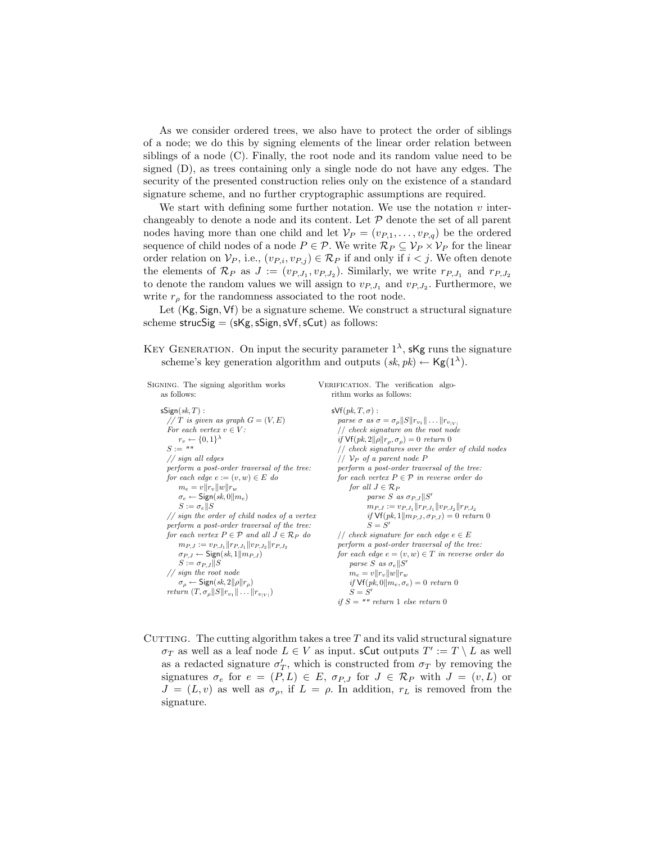As we consider ordered trees, we also have to protect the order of siblings of a node; we do this by signing elements of the linear order relation between siblings of a node (C). Finally, the root node and its random value need to be signed (D), as trees containing only a single node do not have any edges. The security of the presented construction relies only on the existence of a standard signature scheme, and no further cryptographic assumptions are required.

We start with defining some further notation. We use the notation  $v$  interchangeably to denote a node and its content. Let  $P$  denote the set of all parent nodes having more than one child and let  $V_P = (v_{P,1}, \ldots, v_{P,q})$  be the ordered sequence of child nodes of a node  $P \in \mathcal{P}$ . We write  $\mathcal{R}_P \subseteq \mathcal{V}_P \times \mathcal{V}_P$  for the linear order relation on  $V_P$ , i.e.,  $(v_{P,i}, v_{P,j}) \in \mathcal{R}_P$  if and only if  $i < j$ . We often denote the elements of  $\mathcal{R}_P$  as  $J := (v_{P,J_1}, v_{P,J_2})$ . Similarly, we write  $r_{P,J_1}$  and  $r_{P,J_2}$ to denote the random values we will assign to  $v_{P,J_1}$  and  $v_{P,J_2}$ . Furthermore, we write  $r_{\rho}$  for the randomness associated to the root node.

Let (Kg, Sign, Vf) be a signature scheme. We construct a structural signature scheme strucSig =  $(sKg, sSign, sVf, sCut)$  as follows:



| SIGNING. The signing algorithm works                                                                                                                                                                                                                                                                                                                                                                                                                                                                                | VERIFICATION. The verification algo-                                                                                                                                                                                                                                                                                                                                                                                                            |
|---------------------------------------------------------------------------------------------------------------------------------------------------------------------------------------------------------------------------------------------------------------------------------------------------------------------------------------------------------------------------------------------------------------------------------------------------------------------------------------------------------------------|-------------------------------------------------------------------------------------------------------------------------------------------------------------------------------------------------------------------------------------------------------------------------------------------------------------------------------------------------------------------------------------------------------------------------------------------------|
| as follows:                                                                                                                                                                                                                                                                                                                                                                                                                                                                                                         | rithm works as follows:                                                                                                                                                                                                                                                                                                                                                                                                                         |
| $sSign(sk, T)$ :                                                                                                                                                                                                                                                                                                                                                                                                                                                                                                    | $\mathsf{sVf}(pk, T, \sigma)$ :                                                                                                                                                                                                                                                                                                                                                                                                                 |
| // T is given as graph $G = (V, E)$                                                                                                                                                                                                                                                                                                                                                                                                                                                                                 | parse $\sigma$ as $\sigma = \sigma_{\rho}   S   r_{v_1}    \dots    r_{v_{ V }}$                                                                                                                                                                                                                                                                                                                                                                |
| For each vertex $v \in V$ :                                                                                                                                                                                                                                                                                                                                                                                                                                                                                         | // check signature on the root node                                                                                                                                                                                                                                                                                                                                                                                                             |
| $r_v \leftarrow \{0,1\}^{\lambda}$                                                                                                                                                                                                                                                                                                                                                                                                                                                                                  | if $\forall f(pk, 2  \rho  r_{\rho}, \sigma_{\rho}) = 0$ return 0                                                                                                                                                                                                                                                                                                                                                                               |
| $S := "$                                                                                                                                                                                                                                                                                                                                                                                                                                                                                                            | $\frac{1}{\pi}$ check signatures over the order of child nodes                                                                                                                                                                                                                                                                                                                                                                                  |
| $//$ sign all edges                                                                                                                                                                                                                                                                                                                                                                                                                                                                                                 | // $V_P$ of a parent node P                                                                                                                                                                                                                                                                                                                                                                                                                     |
| perform a post-order traversal of the tree:                                                                                                                                                                                                                                                                                                                                                                                                                                                                         | perform a post-order traversal of the tree:                                                                                                                                                                                                                                                                                                                                                                                                     |
| for each edge $e := (v, w) \in E$ do                                                                                                                                                                                                                                                                                                                                                                                                                                                                                | for each vertex $P \in \mathcal{P}$ in reverse order do                                                                                                                                                                                                                                                                                                                                                                                         |
| $m_e = v   r_v  w  r_w$                                                                                                                                                                                                                                                                                                                                                                                                                                                                                             | for all $J \in \mathcal{R}_P$                                                                                                                                                                                                                                                                                                                                                                                                                   |
| $\sigma_e \leftarrow$ Sign(sk, $0 \parallel m_e$ )                                                                                                                                                                                                                                                                                                                                                                                                                                                                  | parse S as $\sigma_{P,J}  S'$                                                                                                                                                                                                                                                                                                                                                                                                                   |
| $S := \sigma_e    S$<br>$//$ sign the order of child nodes of a vertex<br>perform a post-order traversal of the tree:<br>for each vertex $P \in \mathcal{P}$ and all $J \in \mathcal{R}_P$ do<br>$m_{P,J} := v_{P,J_1}    r_{P,J_1}    v_{P,J_2}    r_{P,J_2}$<br>$\sigma_{P,J} \leftarrow$ Sign(sk, $1  m_{P,J}$ )<br>$S := \sigma_{P,J}    S$<br>$//$ sign the root node<br>$\sigma_{\rho} \leftarrow$ Sign(sk, 2   $\rho$    $r_{\rho}$ )<br>return $(T, \sigma_{\rho}    S    r_{v_1}    \dots    r_{v_{ V }})$ | $m_{P,J} := v_{P,J_1}    r_{P,J_1}    v_{P,J_2}    r_{P,J_2}$<br>if $Vf(pk, 1  m_{P,J}, \sigma_{P,J}) = 0$ return 0<br>$S = S'$<br>// check signature for each edge $e \in E$<br>perform a post-order traversal of the tree:<br>for each edge $e = (v, w) \in T$ in reverse order do<br>parse S as $\sigma_e  S'$<br>$m_e = v   r_v  w  r_w$<br>if $\forall f(pk,0  m_e,\sigma_e)=0$ return 0<br>$S = S'$<br>if $S = "" return 1$ else return 0 |

CUTTING. The cutting algorithm takes a tree  $T$  and its valid structural signature  $\sigma_T$  as well as a leaf node  $L \in V$  as input. sCut outputs  $T' := T \setminus L$  as well as a redacted signature  $\sigma'_T$ , which is constructed from  $\sigma_T$  by removing the signatures  $\sigma_e$  for  $e = (P, L) \in E$ ,  $\sigma_{P, J}$  for  $J \in \mathcal{R}_P$  with  $J = (v, L)$  or  $J = (L, v)$  as well as  $\sigma_{\rho}$ , if  $L = \rho$ . In addition,  $r_L$  is removed from the signature.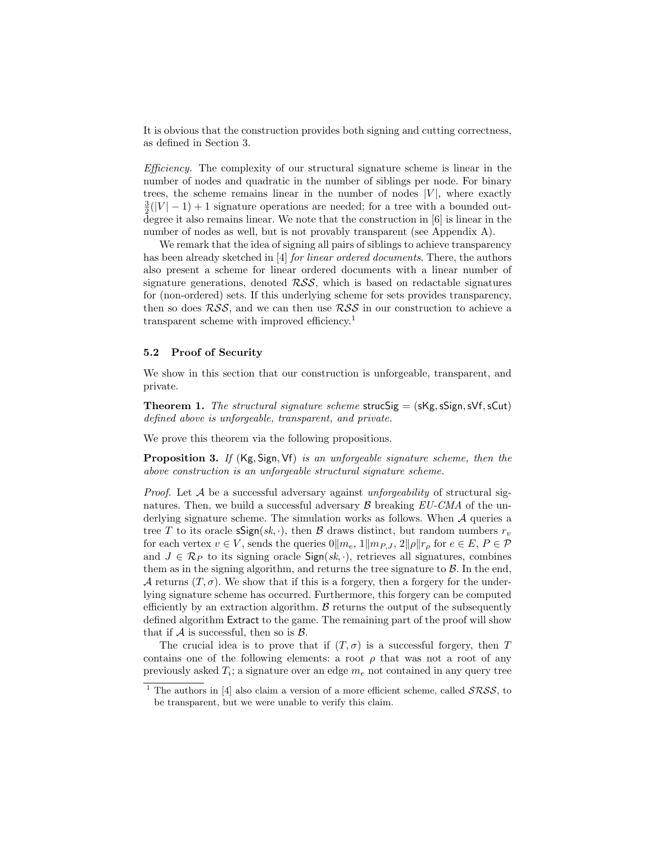It is obvious that the construction provides both signing and cutting correctness, as defined in Section 3.

Efficiency. The complexity of our structural signature scheme is linear in the number of nodes and quadratic in the number of siblings per node. For binary trees, the scheme remains linear in the number of nodes  $|V|$ , where exactly  $\frac{3}{2}(|V|-1)+1$  signature operations are needed; for a tree with a bounded outdegree it also remains linear. We note that the construction in [6] is linear in the number of nodes as well, but is not provably transparent (see Appendix A).

We remark that the idea of signing all pairs of siblings to achieve transparency has been already sketched in [4] *for linear ordered documents*. There, the authors also present a scheme for linear ordered documents with a linear number of signature generations, denoted  $\mathcal{RSS}$ , which is based on redactable signatures for (non-ordered) sets. If this underlying scheme for sets provides transparency, then so does  $\mathcal{RSS}$ , and we can then use  $\mathcal{RSS}$  in our construction to achieve a transparent scheme with improved efficiency.<sup>1</sup>

### 5.2 Proof of Security

We show in this section that our construction is unforgeable, transparent, and private.

**Theorem 1.** The structural signature scheme strucSig =  $(sKg, sSign, sVf, sCut)$ defined above is unforgeable, transparent, and private.

We prove this theorem via the following propositions.

Proposition 3. If (Kg, Sign, Vf) is an unforgeable signature scheme, then the above construction is an unforgeable structural signature scheme.

*Proof.* Let  $A$  be a successful adversary against *unforgeability* of structural signatures. Then, we build a successful adversary  $\beta$  breaking  $EU\text{-}CMA$  of the underlying signature scheme. The simulation works as follows. When  $A$  queries a tree T to its oracle  $\text{Sign}(sk, \cdot)$ , then B draws distinct, but random numbers  $r_v$ for each vertex  $v \in V$ , sends the queries  $0||m_e, 1||m_{P,J}, 2||\rho||r_\rho$  for  $e \in E, P \in \mathcal{P}$ and  $J \in \mathcal{R}_P$  to its signing oracle  $Sign(sk, \cdot)$ , retrieves all signatures, combines them as in the signing algorithm, and returns the tree signature to  $\beta$ . In the end, A returns  $(T, \sigma)$ . We show that if this is a forgery, then a forgery for the underlying signature scheme has occurred. Furthermore, this forgery can be computed efficiently by an extraction algorithm.  $\beta$  returns the output of the subsequently defined algorithm Extract to the game. The remaining part of the proof will show that if  $A$  is successful, then so is  $B$ .

The crucial idea is to prove that if  $(T, \sigma)$  is a successful forgery, then T contains one of the following elements: a root  $\rho$  that was not a root of any previously asked  $T_i$ ; a signature over an edge  $m_e$  not contained in any query tree

<sup>&</sup>lt;sup>1</sup> The authors in [4] also claim a version of a more efficient scheme, called  $\mathcal{SRSS}$ , to be transparent, but we were unable to verify this claim.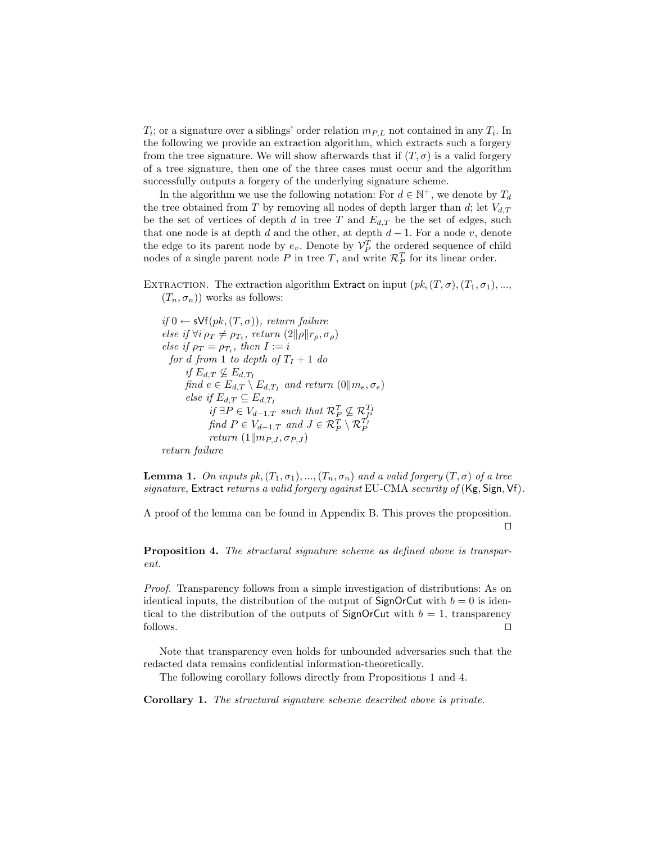$T_i$ ; or a signature over a siblings' order relation  $m_{P,L}$  not contained in any  $T_i$ . In the following we provide an extraction algorithm, which extracts such a forgery from the tree signature. We will show afterwards that if  $(T, \sigma)$  is a valid forgery of a tree signature, then one of the three cases must occur and the algorithm successfully outputs a forgery of the underlying signature scheme.

In the algorithm we use the following notation: For  $d \in \mathbb{N}^+$ , we denote by  $T_d$ the tree obtained from T by removing all nodes of depth larger than  $d$ ; let  $V_{d,T}$ be the set of vertices of depth d in tree T and  $E_{d,T}$  be the set of edges, such that one node is at depth d and the other, at depth  $d-1$ . For a node v, denote the edge to its parent node by  $e_v$ . Denote by  $\mathcal{V}_P^T$  the ordered sequence of child nodes of a single parent node  $P$  in tree  $T$ , and write  $\mathcal{R}_P^T$  for its linear order.

EXTRACTION. The extraction algorithm Extract on input  $(pk, (T, \sigma), (T_1, \sigma_1), ...,$  $(T_n, \sigma_n)$  works as follows:

if  $0 \leftarrow sVf(pk,(T, \sigma))$ , return failure else if  $\forall i \rho_T \neq \rho_{T_i}$ , return  $(2||\rho||r_\rho, \sigma_\rho)$ else if  $\rho_T = \rho_{T_i}$ , then  $I := i$ for d from 1 to depth of  $T_I + 1$  do if  $E_{d,T} \nsubseteq E_{d,T_I}$ find  $e \in E_{d,T} \setminus E_{d,T_I}$  and return  $(0||m_e, \sigma_e)$ else if  $E_{d,T} \subseteq E_{d,T_I}$ if ∃P ∈  $V_{d-1,T}$  such that  $\mathcal{R}_P^T \nsubseteq \mathcal{R}_P^{T_I}$ <br>find  $P \in V_{d-1,T}$  and  $J \in \mathcal{R}_P^T \setminus \mathcal{R}_P^{T_I}$ return  $(1||m_{P,J}, \sigma_{P,J})$ return failure

**Lemma 1.** On inputs pk,  $(T_1, \sigma_1), ..., (T_n, \sigma_n)$  and a valid forgery  $(T, \sigma)$  of a tree signature, Extract returns a valid forgery against EU-CMA security of  $(Kg, Sign, Vf)$ .

A proof of the lemma can be found in Appendix B. This proves the proposition.  $\Box$ 

Proposition 4. The structural signature scheme as defined above is transparent.

Proof. Transparency follows from a simple investigation of distributions: As on identical inputs, the distribution of the output of SignOrCut with  $b = 0$  is identical to the distribution of the outputs of SignOrCut with  $b = 1$ , transparency follows.  $\Box$ 

Note that transparency even holds for unbounded adversaries such that the redacted data remains confidential information-theoretically.

The following corollary follows directly from Propositions 1 and 4.

Corollary 1. The structural signature scheme described above is private.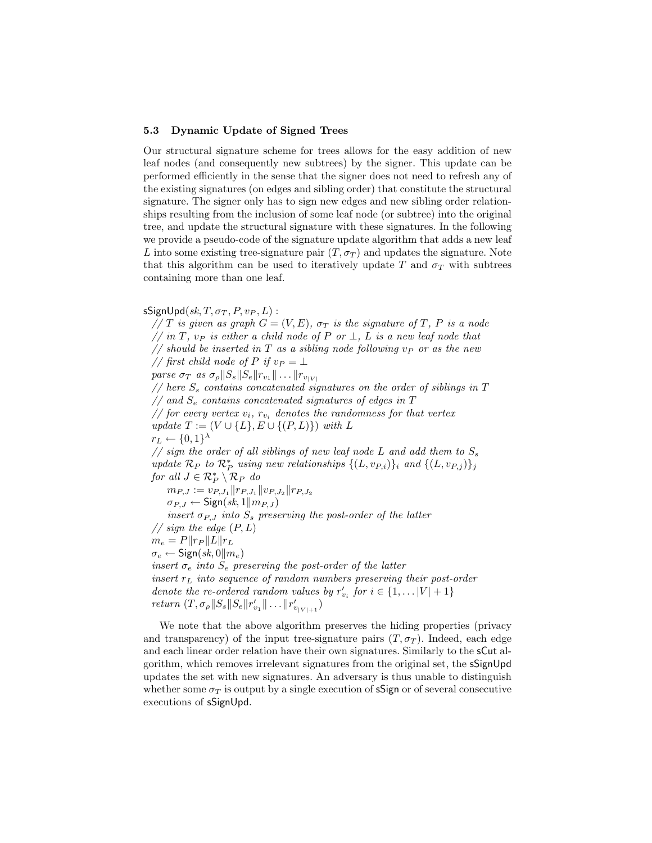### 5.3 Dynamic Update of Signed Trees

Our structural signature scheme for trees allows for the easy addition of new leaf nodes (and consequently new subtrees) by the signer. This update can be performed efficiently in the sense that the signer does not need to refresh any of the existing signatures (on edges and sibling order) that constitute the structural signature. The signer only has to sign new edges and new sibling order relationships resulting from the inclusion of some leaf node (or subtree) into the original tree, and update the structural signature with these signatures. In the following we provide a pseudo-code of the signature update algorithm that adds a new leaf L into some existing tree-signature pair  $(T, \sigma_T)$  and updates the signature. Note that this algorithm can be used to iteratively update T and  $\sigma_T$  with subtrees containing more than one leaf.

sSignUpd(sk,  $T, \sigma_T, P, v_P, L$ ):

// T is given as graph  $G = (V, E)$ ,  $\sigma_T$  is the signature of T, P is a node // in T,  $v_P$  is either a child node of P or  $\perp$ , L is a new leaf node that // should be inserted in  $T$  as a sibling node following  $v_P$  or as the new // first child node of P if  $v_P = \perp$ parse  $\sigma_T$  as  $\sigma_\rho$  $\|S_s\|S_e\|r_{v_1}\|\dots\|r_{v_{|V|}}$ // here  $S_s$  contains concatenated signatures on the order of siblings in T  $\frac{1}{2}$  and  $S_e$  contains concatenated signatures of edges in T // for every vertex  $v_i$ ,  $r_{v_i}$  denotes the randomness for that vertex update  $T := (V \cup \{L\}, E \cup \{(P, L)\})$  with L  $r_L \leftarrow \{0,1\}^{\lambda}$ // sign the order of all siblings of new leaf node L and add them to  $S_s$ update  $\mathcal{R}_P$  to  $\mathcal{R}_P^*$  using new relationships  $\{(L, v_{P,i})\}_i$  and  $\{(L, v_{P,j})\}_j$ for all  $J \in \mathcal{R}_P^* \setminus \mathcal{R}_P$  do  $m_{P,J} := v_{P,J_1} \| r_{P,J_1} \| v_{P,J_2} \| r_{P,J_2}$  $\sigma_{P,J} \leftarrow$  Sign $(sk, 1 \parallel m_{P,J}$ insert  $\sigma_{P,J}$  into  $S_s$  preserving the post-order of the latter // sign the edge  $(P, L)$  $m_e = P||r_P||L||r_L$  $\sigma_e \leftarrow$  Sign $(sk, 0||m_e)$ insert  $\sigma_e$  into  $S_e$  preserving the post-order of the latter insert  $r_L$  into sequence of random numbers preserving their post-order denote the re-ordered random values by  $r'_{v_i}$  for  $i \in \{1, \dots |V| + 1\}$  $return (T, \sigma_{\rho} || S_s || S_e || r'_{v_1} || \dots || r'_{v_{|V|+1}})$ 

We note that the above algorithm preserves the hiding properties (privacy and transparency) of the input tree-signature pairs  $(T, \sigma_T)$ . Indeed, each edge and each linear order relation have their own signatures. Similarly to the sCut algorithm, which removes irrelevant signatures from the original set, the sSignUpd updates the set with new signatures. An adversary is thus unable to distinguish whether some  $\sigma_T$  is output by a single execution of **sSign** or of several consecutive executions of sSignUpd.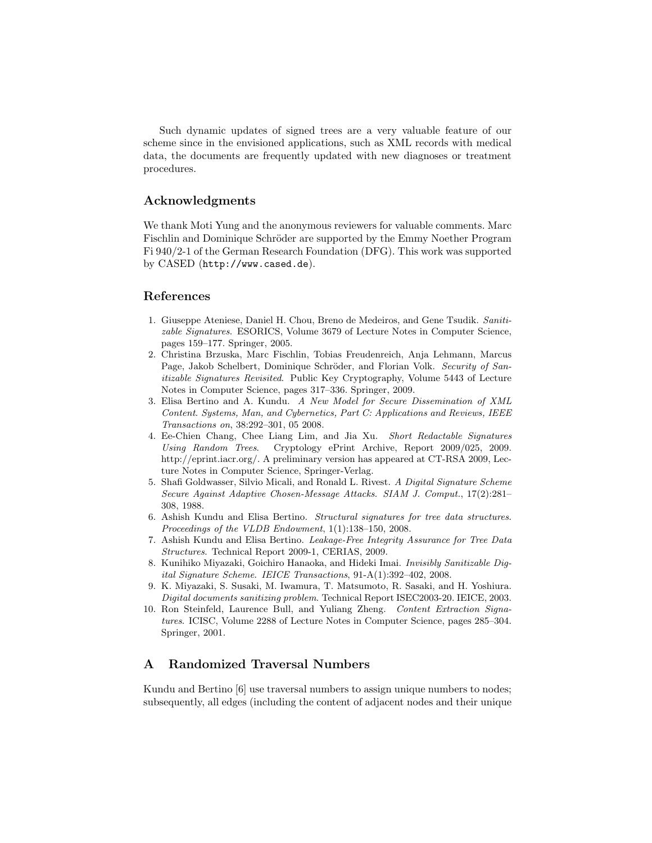Such dynamic updates of signed trees are a very valuable feature of our scheme since in the envisioned applications, such as XML records with medical data, the documents are frequently updated with new diagnoses or treatment procedures.

# Acknowledgments

We thank Moti Yung and the anonymous reviewers for valuable comments. Marc Fischlin and Dominique Schröder are supported by the Emmy Noether Program Fi 940/2-1 of the German Research Foundation (DFG). This work was supported by CASED (http://www.cased.de).

# References

- 1. Giuseppe Ateniese, Daniel H. Chou, Breno de Medeiros, and Gene Tsudik. Sanitizable Signatures. ESORICS, Volume 3679 of Lecture Notes in Computer Science, pages 159–177. Springer, 2005.
- 2. Christina Brzuska, Marc Fischlin, Tobias Freudenreich, Anja Lehmann, Marcus Page, Jakob Schelbert, Dominique Schröder, and Florian Volk. Security of Sanitizable Signatures Revisited. Public Key Cryptography, Volume 5443 of Lecture Notes in Computer Science, pages 317–336. Springer, 2009.
- 3. Elisa Bertino and A. Kundu. A New Model for Secure Dissemination of XML Content. Systems, Man, and Cybernetics, Part C: Applications and Reviews, IEEE Transactions on, 38:292–301, 05 2008.
- 4. Ee-Chien Chang, Chee Liang Lim, and Jia Xu. Short Redactable Signatures Using Random Trees. Cryptology ePrint Archive, Report 2009/025, 2009. http://eprint.iacr.org/. A preliminary version has appeared at CT-RSA 2009, Lecture Notes in Computer Science, Springer-Verlag.
- 5. Shafi Goldwasser, Silvio Micali, and Ronald L. Rivest. A Digital Signature Scheme Secure Against Adaptive Chosen-Message Attacks. SIAM J. Comput., 17(2):281– 308, 1988.
- 6. Ashish Kundu and Elisa Bertino. Structural signatures for tree data structures. Proceedings of the VLDB Endowment, 1(1):138–150, 2008.
- 7. Ashish Kundu and Elisa Bertino. Leakage-Free Integrity Assurance for Tree Data Structures. Technical Report 2009-1, CERIAS, 2009.
- 8. Kunihiko Miyazaki, Goichiro Hanaoka, and Hideki Imai. Invisibly Sanitizable Digital Signature Scheme. IEICE Transactions, 91-A(1):392–402, 2008.
- 9. K. Miyazaki, S. Susaki, M. Iwamura, T. Matsumoto, R. Sasaki, and H. Yoshiura. Digital documents sanitizing problem. Technical Report ISEC2003-20. IEICE, 2003.
- 10. Ron Steinfeld, Laurence Bull, and Yuliang Zheng. Content Extraction Signatures. ICISC, Volume 2288 of Lecture Notes in Computer Science, pages 285–304. Springer, 2001.

# A Randomized Traversal Numbers

Kundu and Bertino [6] use traversal numbers to assign unique numbers to nodes; subsequently, all edges (including the content of adjacent nodes and their unique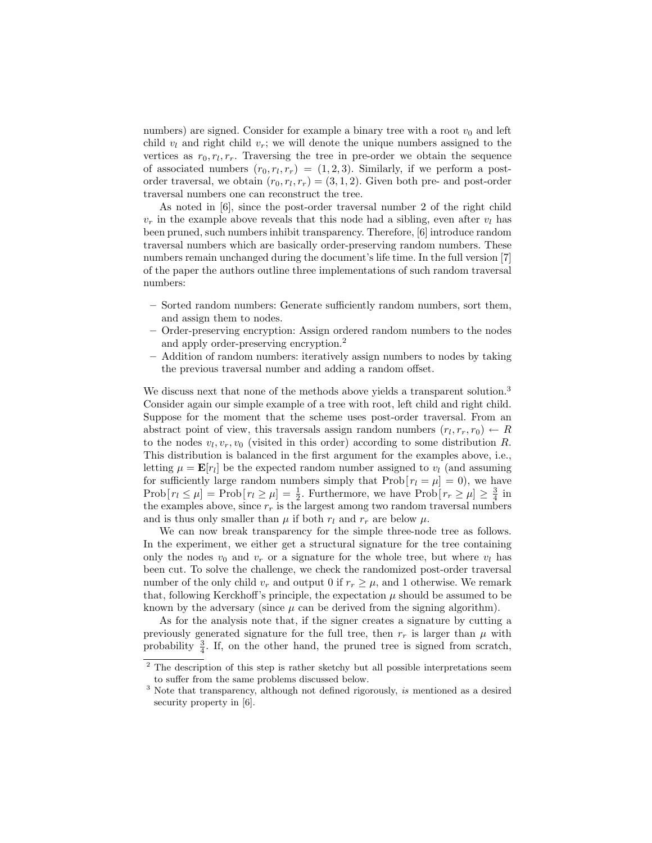numbers) are signed. Consider for example a binary tree with a root  $v_0$  and left child  $v_l$  and right child  $v_r$ ; we will denote the unique numbers assigned to the vertices as  $r_0, r_l, r_r$ . Traversing the tree in pre-order we obtain the sequence of associated numbers  $(r_0, r_l, r_r) = (1, 2, 3)$ . Similarly, if we perform a postorder traversal, we obtain  $(r_0, r_l, r_r) = (3, 1, 2)$ . Given both pre- and post-order traversal numbers one can reconstruct the tree.

As noted in [6], since the post-order traversal number 2 of the right child  $v_r$  in the example above reveals that this node had a sibling, even after  $v_l$  has been pruned, such numbers inhibit transparency. Therefore, [6] introduce random traversal numbers which are basically order-preserving random numbers. These numbers remain unchanged during the document's life time. In the full version [7] of the paper the authors outline three implementations of such random traversal numbers:

- Sorted random numbers: Generate sufficiently random numbers, sort them, and assign them to nodes.
- Order-preserving encryption: Assign ordered random numbers to the nodes and apply order-preserving encryption.<sup>2</sup>
- Addition of random numbers: iteratively assign numbers to nodes by taking the previous traversal number and adding a random offset.

We discuss next that none of the methods above yields a transparent solution.<sup>3</sup> Consider again our simple example of a tree with root, left child and right child. Suppose for the moment that the scheme uses post-order traversal. From an abstract point of view, this traversals assign random numbers  $(r_l, r_r, r_0) \leftarrow R$ to the nodes  $v_l, v_r, v_0$  (visited in this order) according to some distribution R. This distribution is balanced in the first argument for the examples above, i.e., letting  $\mu = \mathbf{E}[r_l]$  be the expected random number assigned to  $v_l$  (and assuming for sufficiently large random numbers simply that  $\text{Prob}[r_l = \mu] = 0$ , we have Prob $[r_l \leq \mu] = \text{Prob}[r_l \geq \mu] = \frac{1}{2}$ . Furthermore, we have  $\text{Prob}[r_r \geq \mu] \geq \frac{3}{4}$  in the examples above, since  $r_r$  is the largest among two random traversal numbers and is thus only smaller than  $\mu$  if both  $r_l$  and  $r_r$  are below  $\mu$ .

We can now break transparency for the simple three-node tree as follows. In the experiment, we either get a structural signature for the tree containing only the nodes  $v_0$  and  $v_r$  or a signature for the whole tree, but where  $v_l$  has been cut. To solve the challenge, we check the randomized post-order traversal number of the only child  $v_r$  and output 0 if  $r_r \geq \mu$ , and 1 otherwise. We remark that, following Kerckhoff's principle, the expectation  $\mu$  should be assumed to be known by the adversary (since  $\mu$  can be derived from the signing algorithm).

As for the analysis note that, if the signer creates a signature by cutting a previously generated signature for the full tree, then  $r_r$  is larger than  $\mu$  with probability  $\frac{3}{4}$ . If, on the other hand, the pruned tree is signed from scratch,

<sup>&</sup>lt;sup>2</sup> The description of this step is rather sketchy but all possible interpretations seem to suffer from the same problems discussed below.

<sup>&</sup>lt;sup>3</sup> Note that transparency, although not defined rigorously, *is* mentioned as a desired security property in [6].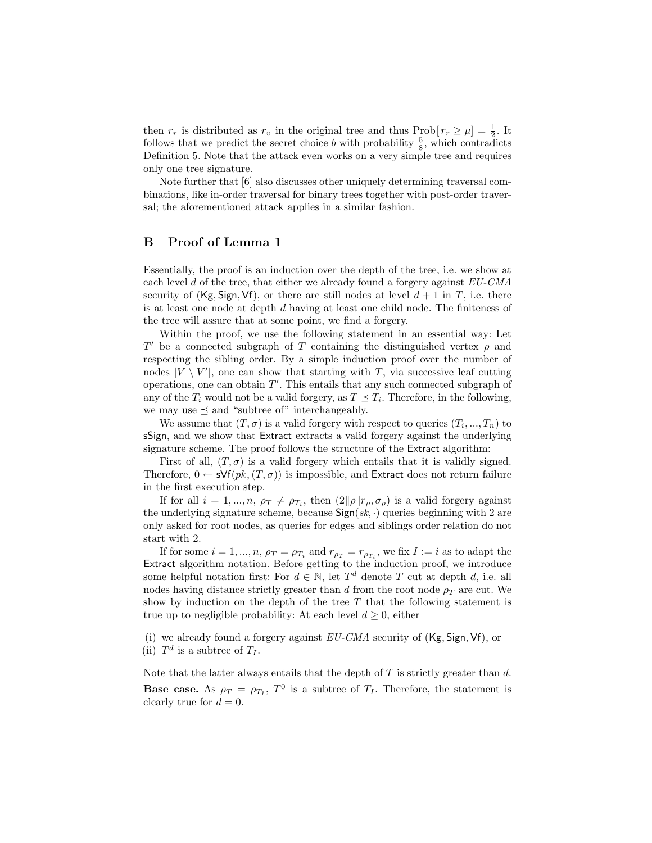then  $r_r$  is distributed as  $r_v$  in the original tree and thus  $\text{Prob}[r_r \geq \mu] = \frac{1}{2}$ . It follows that we predict the secret choice b with probability  $\frac{5}{8}$ , which contradicts Definition 5. Note that the attack even works on a very simple tree and requires only one tree signature.

Note further that [6] also discusses other uniquely determining traversal combinations, like in-order traversal for binary trees together with post-order traversal; the aforementioned attack applies in a similar fashion.

# B Proof of Lemma 1

Essentially, the proof is an induction over the depth of the tree, i.e. we show at each level d of the tree, that either we already found a forgery against  $EU-CMA$ security of  $(Kg, Sign, Vf)$ , or there are still nodes at level  $d+1$  in T, i.e. there is at least one node at depth d having at least one child node. The finiteness of the tree will assure that at some point, we find a forgery.

Within the proof, we use the following statement in an essential way: Let  $T'$  be a connected subgraph of T containing the distinguished vertex  $\rho$  and respecting the sibling order. By a simple induction proof over the number of nodes  $|V \setminus V'|$ , one can show that starting with T, via successive leaf cutting operations, one can obtain  $T'$ . This entails that any such connected subgraph of any of the  $T_i$  would not be a valid forgery, as  $T \preceq T_i$ . Therefore, in the following, we may use  $\preceq$  and "subtree of" interchangeably.

We assume that  $(T, \sigma)$  is a valid forgery with respect to queries  $(T_i, ..., T_n)$  to sSign, and we show that Extract extracts a valid forgery against the underlying signature scheme. The proof follows the structure of the Extract algorithm:

First of all,  $(T, \sigma)$  is a valid forgery which entails that it is validly signed. Therefore,  $0 \leftarrow sVf(pk,(T,\sigma))$  is impossible, and Extract does not return failure in the first execution step.

If for all  $i = 1, ..., n$ ,  $\rho_T \neq \rho_{T_i}$ , then  $(2||\rho||r_\rho, \sigma_\rho)$  is a valid forgery against the underlying signature scheme, because  $Sign(sk, \cdot)$  queries beginning with 2 are only asked for root nodes, as queries for edges and siblings order relation do not start with 2.

If for some  $i = 1, ..., n$ ,  $\rho_T = \rho_{T_i}$  and  $r_{\rho_T} = r_{\rho_{T_i}}$ , we fix  $I := i$  as to adapt the Extract algorithm notation. Before getting to the induction proof, we introduce some helpful notation first: For  $d \in \mathbb{N}$ , let  $T^d$  denote T cut at depth d, i.e. all nodes having distance strictly greater than d from the root node  $\rho_T$  are cut. We show by induction on the depth of the tree  $T$  that the following statement is true up to negligible probability: At each level  $d \geq 0$ , either

(i) we already found a forgery against  $EU\text{-}CMA$  security of  $(Kg, Sign, Vf)$ , or (ii)  $T^d$  is a subtree of  $T_I$ .

Note that the latter always entails that the depth of  $T$  is strictly greater than  $d$ .

**Base case.** As  $\rho_T = \rho_{T_I}, T^0$  is a subtree of  $T_I$ . Therefore, the statement is clearly true for  $d = 0$ .